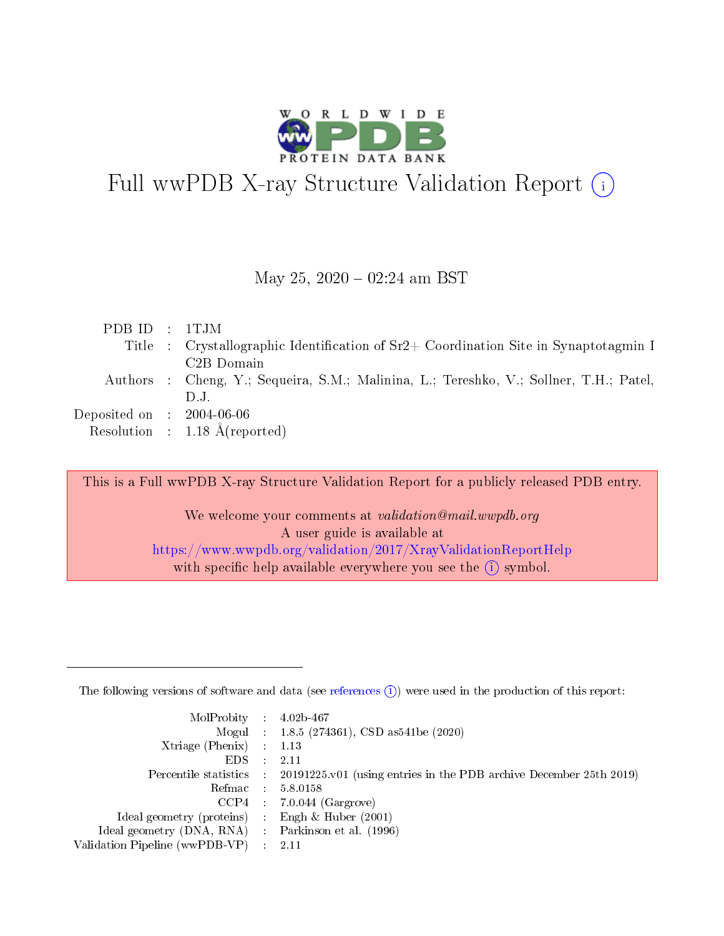

# Full wwPDB X-ray Structure Validation Report (i)

#### May 25,  $2020 - 02:24$  am BST

| PDBID : 1TJM                         |                                                                                        |
|--------------------------------------|----------------------------------------------------------------------------------------|
|                                      | Title : Crystallographic Identification of $Sr2+$ Coordination Site in Synaptotagmin I |
|                                      | C <sub>2</sub> B Domain                                                                |
|                                      | Authors : Cheng, Y.; Sequeira, S.M.; Malinina, L.; Tereshko, V.; Sollner, T.H.; Patel, |
|                                      | $1$                                                                                    |
| Deposited on $\therefore$ 2004-06-06 |                                                                                        |
|                                      | Resolution : $1.18 \text{ Å}$ (reported)                                               |

This is a Full wwPDB X-ray Structure Validation Report for a publicly released PDB entry.

We welcome your comments at validation@mail.wwpdb.org A user guide is available at <https://www.wwpdb.org/validation/2017/XrayValidationReportHelp> with specific help available everywhere you see the  $(i)$  symbol.

The following versions of software and data (see [references](https://www.wwpdb.org/validation/2017/XrayValidationReportHelp#references)  $(1)$ ) were used in the production of this report:

| $MolProbability$ : 4.02b-467                        |               |                                                                                            |
|-----------------------------------------------------|---------------|--------------------------------------------------------------------------------------------|
|                                                     |               | Mogul : $1.8.5$ (274361), CSD as 541be (2020)                                              |
| Xtriage (Phenix) $: 1.13$                           |               |                                                                                            |
| EDS.                                                | $\mathcal{L}$ | 2.11                                                                                       |
|                                                     |               | Percentile statistics : 20191225.v01 (using entries in the PDB archive December 25th 2019) |
| Refmac 5.8.0158                                     |               |                                                                                            |
|                                                     |               | $CCP4$ : 7.0.044 (Gargrove)                                                                |
| Ideal geometry (proteins)                           |               | Engh $\&$ Huber (2001)                                                                     |
| Ideal geometry (DNA, RNA) : Parkinson et al. (1996) |               |                                                                                            |
| Validation Pipeline (wwPDB-VP) : 2.11               |               |                                                                                            |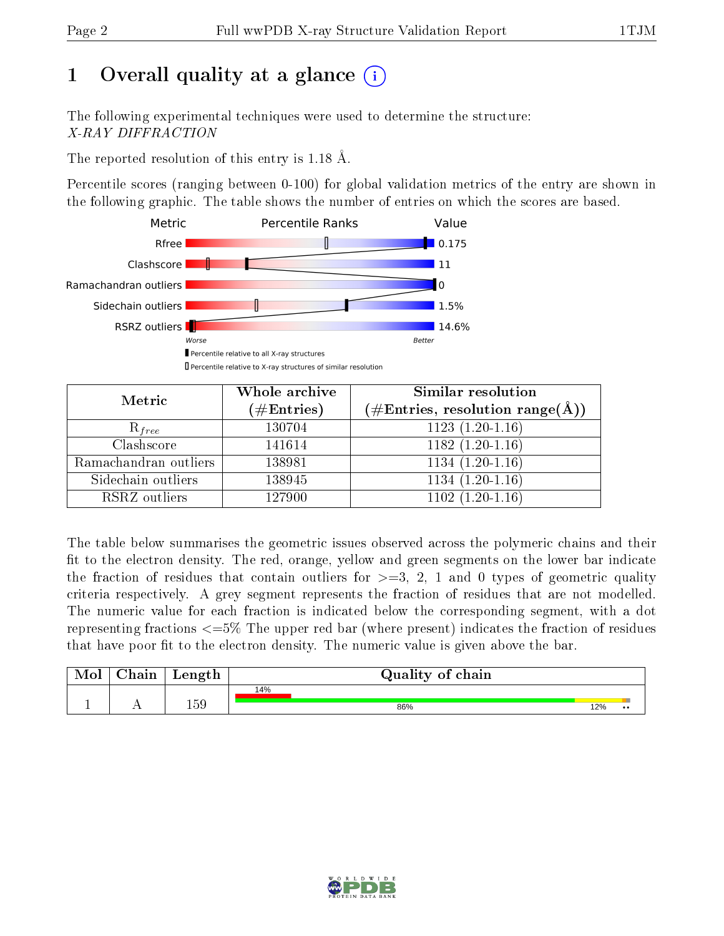# 1 [O](https://www.wwpdb.org/validation/2017/XrayValidationReportHelp#overall_quality)verall quality at a glance  $(i)$

The following experimental techniques were used to determine the structure: X-RAY DIFFRACTION

The reported resolution of this entry is 1.18 Å.

Percentile scores (ranging between 0-100) for global validation metrics of the entry are shown in the following graphic. The table shows the number of entries on which the scores are based.



| Metric                | Whole archive        | <b>Similar resolution</b>                                  |
|-----------------------|----------------------|------------------------------------------------------------|
|                       | $(\#\text{Entries})$ | $(\#\text{Entries}, \text{resolution range}(\text{\AA})\)$ |
| $R_{free}$            | 130704               | $1123(1.20-1.16)$                                          |
| Clashscore            | 141614               | $1182(1.20-1.16)$                                          |
| Ramachandran outliers | 138981               | $1134(1.20-1.16)$                                          |
| Sidechain outliers    | 138945               | $1134(1.20-1.16)$                                          |
| RSRZ outliers         | 127900               | $1102(1.20-1.16)$                                          |

The table below summarises the geometric issues observed across the polymeric chains and their fit to the electron density. The red, orange, yellow and green segments on the lower bar indicate the fraction of residues that contain outliers for  $>=3, 2, 1$  and 0 types of geometric quality criteria respectively. A grey segment represents the fraction of residues that are not modelled. The numeric value for each fraction is indicated below the corresponding segment, with a dot representing fractions  $\epsilon=5\%$  The upper red bar (where present) indicates the fraction of residues that have poor fit to the electron density. The numeric value is given above the bar.

| Mol       | $\alpha$ hain | Length | Quality of chain |     |                  |
|-----------|---------------|--------|------------------|-----|------------------|
|           |               |        | 14%              |     |                  |
| <u>д.</u> | . .           | 159    | 86%              | 12% | $\bullet\bullet$ |

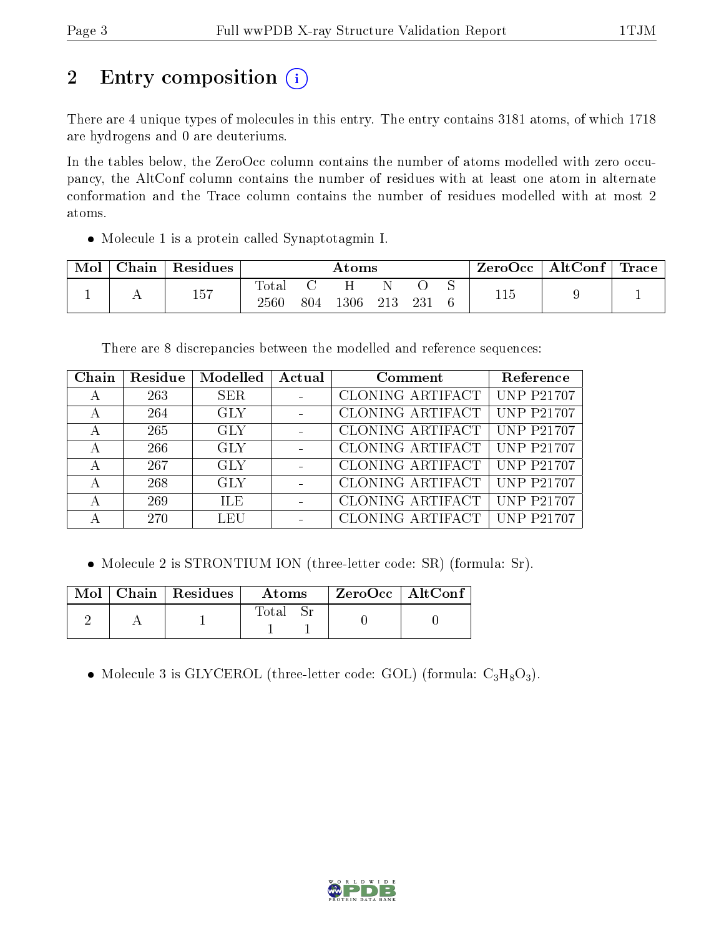# 2 Entry composition (i)

There are 4 unique types of molecules in this entry. The entry contains 3181 atoms, of which 1718 are hydrogens and 0 are deuteriums.

In the tables below, the ZeroOcc column contains the number of atoms modelled with zero occupancy, the AltConf column contains the number of residues with at least one atom in alternate conformation and the Trace column contains the number of residues modelled with at most 2 atoms.

Molecule 1 is a protein called Synaptotagmin I.

| Mol | $\text{Chain}$ | Residues |                         | $\rm{Atoms}$ |      |       |     |  | ZeroOcc | AltConf | $^+$ Trace |
|-----|----------------|----------|-------------------------|--------------|------|-------|-----|--|---------|---------|------------|
|     |                | 157      | $\rm Total$<br>$2560\,$ | 804          | 1306 | - 213 | 231 |  | 115     |         |            |

There are 8 discrepancies between the modelled and reference sequences:

| Chain | Residue | Modelled   | Actual | Comment          | Reference         |
|-------|---------|------------|--------|------------------|-------------------|
| А     | 263     | <b>SER</b> |        | CLONING ARTIFACT | <b>UNP P21707</b> |
|       | 264     | <b>GLY</b> |        | CLONING ARTIFACT | <b>UNP P21707</b> |
|       | 265     | <b>GLY</b> |        | CLONING ARTIFACT | <b>UNP P21707</b> |
| А     | 266     | <b>GLY</b> |        | CLONING ARTIFACT | <b>UNP P21707</b> |
|       | 267     | <b>GLY</b> |        | CLONING ARTIFACT | <b>UNP P21707</b> |
| А     | 268     | <b>GLY</b> |        | CLONING ARTIFACT | <b>UNP P21707</b> |
| А     | 269     | <b>ILE</b> |        | CLONING ARTIFACT | <b>UNP P21707</b> |
|       | 270     | LEU        |        | CLONING ARTIFACT | <b>UNP P21707</b> |

Molecule 2 is STRONTIUM ION (three-letter code: SR) (formula: Sr).

|  | $\parallel$ Mol $\parallel$ Chain $\parallel$ Residues $\parallel$ | $\bold{Atoms}$ | $^{\shortmid}$ ZeroOcc $\mid$ AltConf $^{\shortmid}$ |  |
|--|--------------------------------------------------------------------|----------------|------------------------------------------------------|--|
|  |                                                                    | Total          |                                                      |  |

• Molecule 3 is GLYCEROL (three-letter code: GOL) (formula:  $C_3H_8O_3$ ).

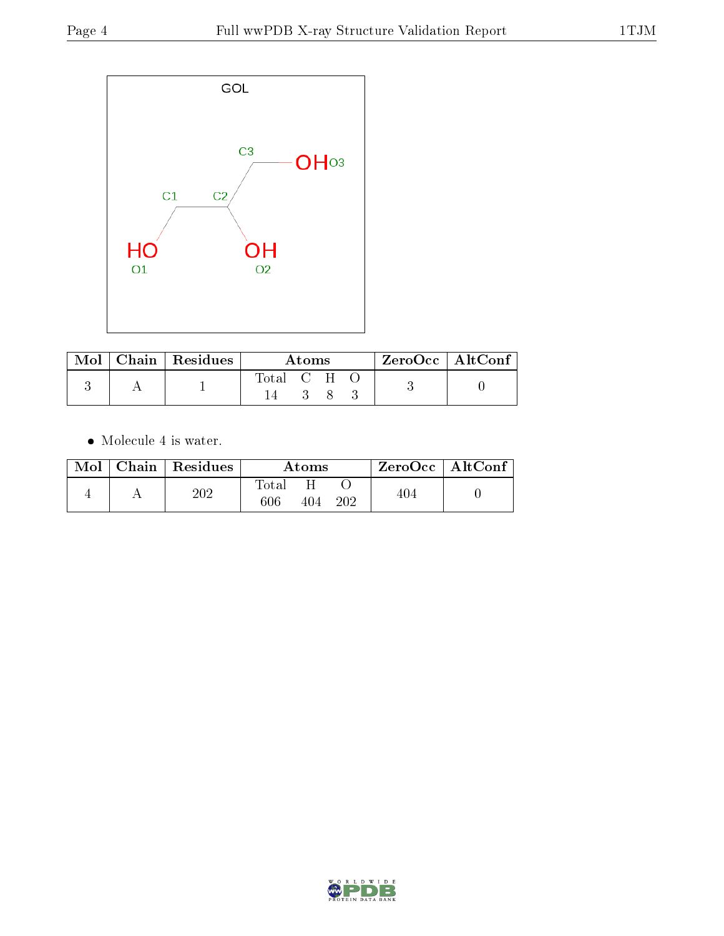

| $\text{Mol}$ | $\vert$ Chain $\vert$ Residues | Atoms.      |  |  | $^{\shortmid}$ ZeroOcc   AltConf $_{\shortmid}$ |  |
|--------------|--------------------------------|-------------|--|--|-------------------------------------------------|--|
|              |                                | Total C H O |  |  |                                                 |  |

 $\bullet\,$  Molecule 4 is water.

| Mol | $\mid$ Chain $\mid$ Residues | Atoms        |     |     |     | $ZeroOcc$   AltConf |
|-----|------------------------------|--------------|-----|-----|-----|---------------------|
|     | $202\,$                      | Total<br>606 | 404 | 202 | 404 |                     |

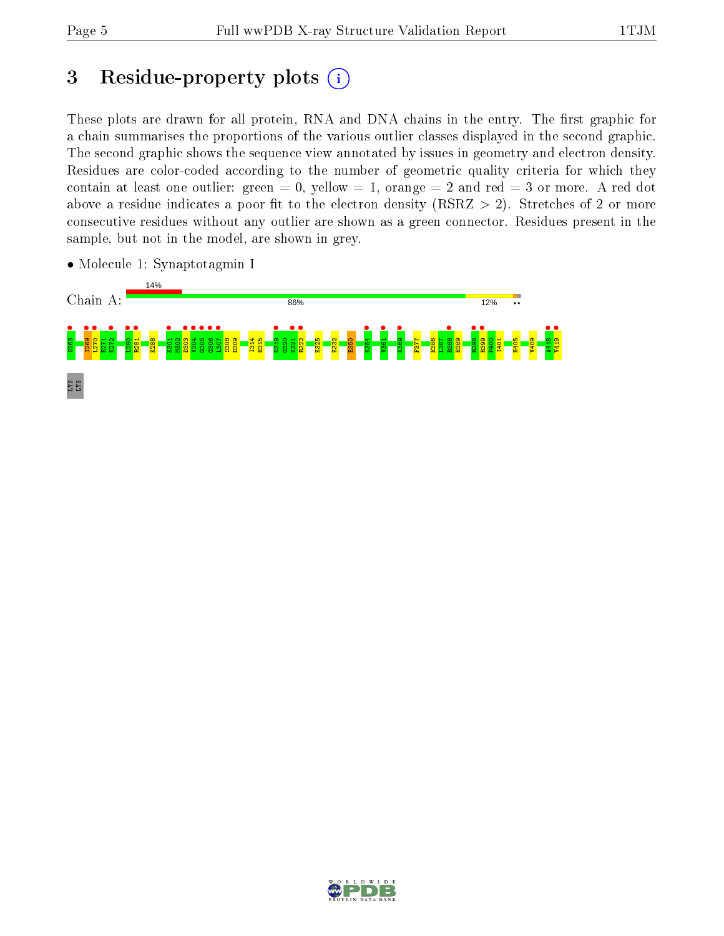# 3 Residue-property plots  $(i)$

These plots are drawn for all protein, RNA and DNA chains in the entry. The first graphic for a chain summarises the proportions of the various outlier classes displayed in the second graphic. The second graphic shows the sequence view annotated by issues in geometry and electron density. Residues are color-coded according to the number of geometric quality criteria for which they contain at least one outlier: green  $= 0$ , yellow  $= 1$ , orange  $= 2$  and red  $= 3$  or more. A red dot above a residue indicates a poor fit to the electron density (RSRZ  $> 2$ ). Stretches of 2 or more consecutive residues without any outlier are shown as a green connector. Residues present in the sample, but not in the model, are shown in grey.



• Molecule 1: Synaptotagmin I

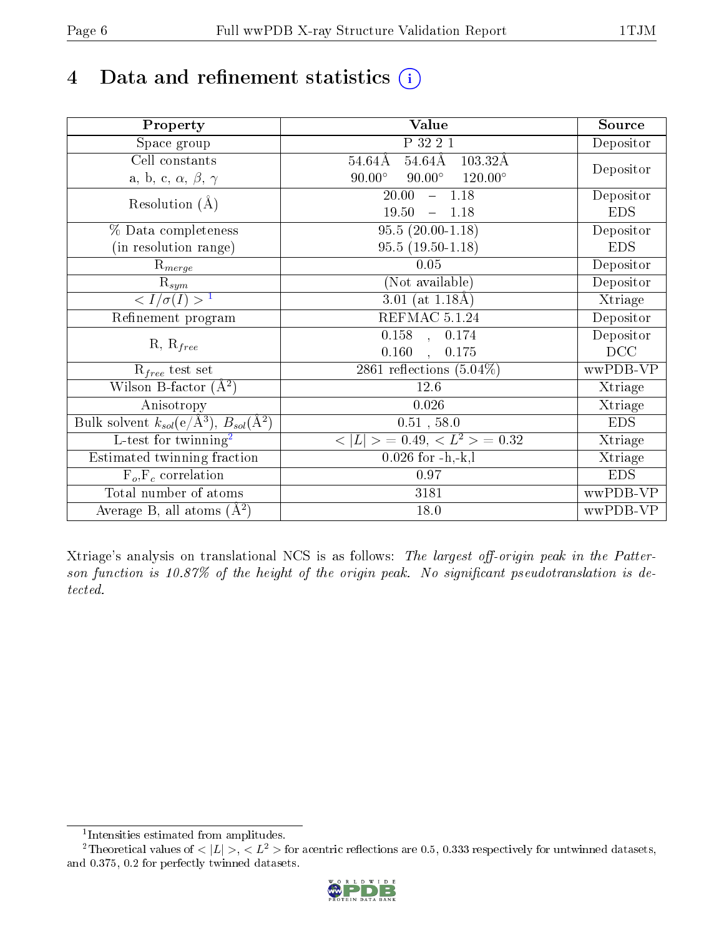# 4 Data and refinement statistics  $(i)$

| Property                                                             | Value                                              | Source     |
|----------------------------------------------------------------------|----------------------------------------------------|------------|
| Space group                                                          | P 32 2 1                                           | Depositor  |
| Cell constants                                                       | $54.64\text{\AA}$<br>$54.64\rm\AA$<br>103.32Å      |            |
| a, b, c, $\alpha$ , $\beta$ , $\gamma$                               | $90.00^\circ$<br>$120.00^{\circ}$<br>$90.00^\circ$ | Depositor  |
| Resolution $(A)$                                                     | 20.00<br>$-1.18$                                   | Depositor  |
|                                                                      | 19.50<br>1.18                                      | <b>EDS</b> |
| % Data completeness                                                  | $95.5(20.00-1.18)$                                 | Depositor  |
| (in resolution range)                                                | $95.5(19.50-1.18)$                                 | <b>EDS</b> |
| $\mathrm{R}_{merge}$                                                 | 0.05                                               | Depositor  |
| $\mathrm{R}_{sym}$                                                   | (Not available)                                    | Depositor  |
| $\sqrt{I/\sigma(I)} > 1$                                             | 3.01 (at $1.18\text{\AA}$ )                        | Xtriage    |
| Refinement program                                                   | $REFMAC$ 5.1.24                                    | Depositor  |
|                                                                      | $\overline{0.158}$ ,<br>0.174                      | Depositor  |
| $R, R_{free}$                                                        | 0.160<br>0.175<br>$\ddot{\phantom{a}}$             | DCC        |
| $R_{free}$ test set                                                  | 2861 reflections $(5.04\%)$                        | wwPDB-VP   |
| Wilson B-factor $(A^2)$                                              | 12.6                                               | Xtriage    |
| Anisotropy                                                           | 0.026                                              | Xtriage    |
| Bulk solvent $k_{sol}(e/\mathring{A}^3)$ , $B_{sol}(\mathring{A}^2)$ | $\overline{0.51}$ , 58.0                           | <b>EDS</b> |
| $\overline{L-test for}$ twinning <sup>2</sup>                        | $< L >$ = 0.49, $< L^2 >$ = 0.32                   | Xtriage    |
| Estimated twinning fraction                                          | $0.026$ for $-h,-k,l$                              | Xtriage    |
| $F_o, F_c$ correlation                                               | 0.97                                               | <b>EDS</b> |
| Total number of atoms                                                | 3181                                               | wwPDB-VP   |
| Average B, all atoms $(A^2)$                                         | 18.0                                               | wwPDB-VP   |

Xtriage's analysis on translational NCS is as follows: The largest off-origin peak in the Patterson function is  $10.87\%$  of the height of the origin peak. No significant pseudotranslation is detected.

<sup>&</sup>lt;sup>2</sup>Theoretical values of  $\langle |L| \rangle$ ,  $\langle L^2 \rangle$  for acentric reflections are 0.5, 0.333 respectively for untwinned datasets, and 0.375, 0.2 for perfectly twinned datasets.



<span id="page-5-1"></span><span id="page-5-0"></span><sup>1</sup> Intensities estimated from amplitudes.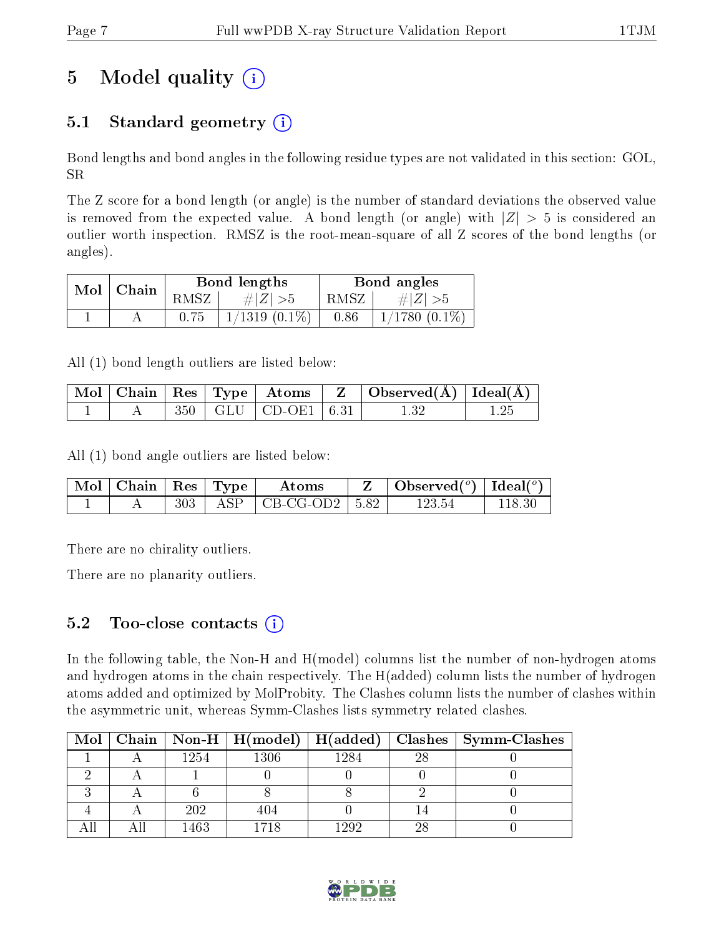# 5 Model quality  $(i)$

### 5.1 Standard geometry  $(i)$

Bond lengths and bond angles in the following residue types are not validated in this section: GOL, SR

The Z score for a bond length (or angle) is the number of standard deviations the observed value is removed from the expected value. A bond length (or angle) with  $|Z| > 5$  is considered an outlier worth inspection. RMSZ is the root-mean-square of all Z scores of the bond lengths (or angles).

| Mol | ' Chain |      | Bond lengths    | Bond angles |                    |  |
|-----|---------|------|-----------------|-------------|--------------------|--|
|     |         | RMSZ | # $ Z  > 5$     | RMSZ        | $\# Z  > 5$        |  |
|     |         | 0.75 | $1/1319(0.1\%)$ | 0.86        | $1/1780$ $(0.1\%)$ |  |

All (1) bond length outliers are listed below:

|  |  | $\boxed{\text{Mol}}$   Chain   Res   Type   Atoms            | $\parallel$ Z $\parallel$ Observed(A) $\parallel$ Ideal(A) $\parallel$ |  |
|--|--|--------------------------------------------------------------|------------------------------------------------------------------------|--|
|  |  | $\mid 350 \mid \text{GLU} \mid \text{CD-OE1} \mid 6.31 \mid$ |                                                                        |  |

All (1) bond angle outliers are listed below:

| $_+$ Mol $\mid$ Chain $\mid$ Res $\mid$ Type $\mid$ |     | $\Lambda$ toms                  | $\mathbf{Z}$   Observed( $^o$ )   Ideal( $^o$ ) |  |
|-----------------------------------------------------|-----|---------------------------------|-------------------------------------------------|--|
|                                                     | 303 | $\text{ASP}$   CB-CG-OD2   5.82 | 123.54                                          |  |

There are no chirality outliers.

There are no planarity outliers.

### $5.2$  Too-close contacts  $(i)$

In the following table, the Non-H and H(model) columns list the number of non-hydrogen atoms and hydrogen atoms in the chain respectively. The H(added) column lists the number of hydrogen atoms added and optimized by MolProbity. The Clashes column lists the number of clashes within the asymmetric unit, whereas Symm-Clashes lists symmetry related clashes.

| $\bf{Mol}$ |      |      |      |      | Chain   Non-H   H(model)   H(added)   Clashes   Symm-Clashes |
|------------|------|------|------|------|--------------------------------------------------------------|
|            | 1254 | 1306 | 1284 | -28  |                                                              |
|            |      |      |      |      |                                                              |
|            |      |      |      |      |                                                              |
|            | 202  | 404  |      |      |                                                              |
|            | 1463 |      | 1992 | - 28 |                                                              |

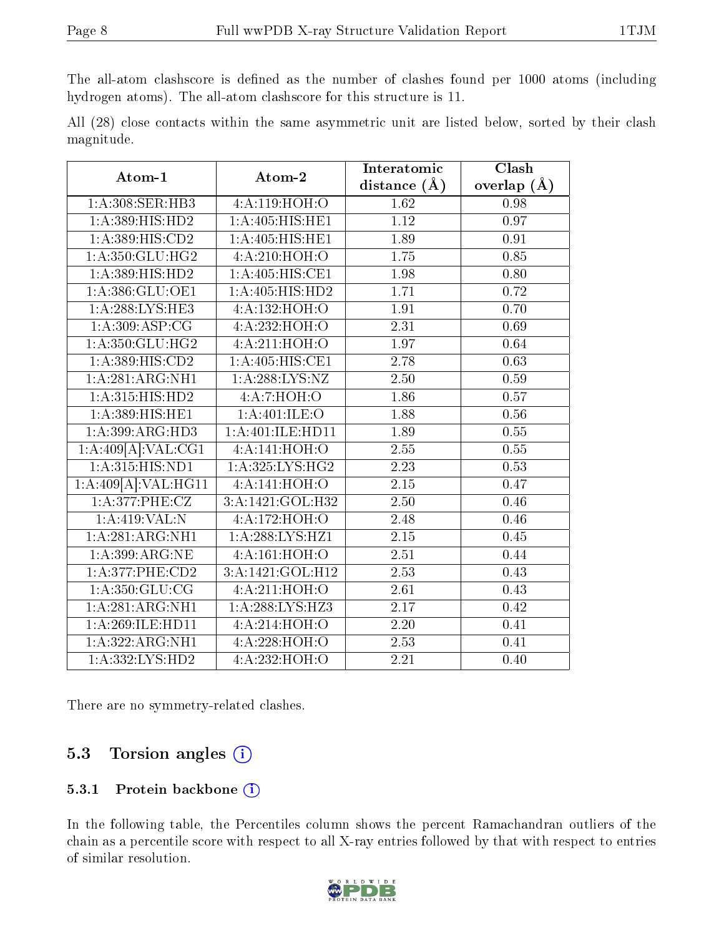The all-atom clashscore is defined as the number of clashes found per 1000 atoms (including hydrogen atoms). The all-atom clashscore for this structure is 11.

All (28) close contacts within the same asymmetric unit are listed below, sorted by their clash magnitude.

| Atom-1                          | Atom-2             | Interatomic       | Clash         |  |
|---------------------------------|--------------------|-------------------|---------------|--|
|                                 |                    | distance $(A)$    | overlap $(A)$ |  |
| 1:A:308:SER:HB3                 | 4:A:119:HOH:O      | 1.62              | 0.98          |  |
| 1:A:389:HIS:HD2                 | 1:A:405:HIS:HE1    | 1.12              | 0.97          |  |
| 1: A: 389: HIS: CD2             | 1:A:405:HIS:HE1    | 1.89              | 0.91          |  |
| 1: A:350: GLU:HG2               | 4:A:210:HOH:O      | $\overline{1.75}$ | 0.85          |  |
| 1: A: 389: HIS: HD2             | 1:A:405:HIS:CE1    | 1.98              | 0.80          |  |
| 1:A:386:GLU:OE1                 | 1:A:405:HIS:HD2    | 1.71              | 0.72          |  |
| 1:A:288:LYS:HE3                 | 4:A:132:HOH:O      | 1.91              | 0.70          |  |
| 1: A:309: ASP:CG                | 4:A:232:HOH:O      | 2.31              | 0.69          |  |
| 1:A:350:GLU:HG2                 | 4:A:211:HOH:O      | 1.97              | 0.64          |  |
| 1: A: 389: HIS: CD2             | 1: A:405: HIS: CE1 | 2.78              | 0.63          |  |
| 1:A:281:ARG:NH1                 | 1: A:288: LYS: NZ  | 2.50              | 0.59          |  |
| 1:A:315:HIS:HD2                 | 4:A:7:HOH:O        | 1.86              | 0.57          |  |
| $1:A:\overline{389:HIS:HE1}$    | 1: A:401: ILE:O    | 1.88              | 0.56          |  |
| 1:A:399:ARG:HD3                 | 1:A:401:ILE:HD11   | 1.89              | 0.55          |  |
| 1:A:409[A]:VAL:CG1              | 4: A:141:HOH:      | $\overline{2.55}$ | 0.55          |  |
| 1:A:315:HIS:ND1                 | 1:A:325:LYS:HG2    | $\overline{2.23}$ | 0.53          |  |
| 1:A:409[A]:VAL:H <sub>G11</sub> | 4:A:141:HOH:O      | $\overline{2.15}$ | 0.47          |  |
| 1: A:377: PHE: CZ               | 3:A:1421:GOL:H32   | 2.50              | 0.46          |  |
| 1:A:419:VAL:N                   | 4:A:172:HOH:O      | 2.48              | 0.46          |  |
| 1:A:281:ARG:NH1                 | 1: A:288:LYS:HZ1   | 2.15              | 0.45          |  |
| 1:A:399:ARG:NE                  | 4:A:161:HOH:O      | 2.51              | 0.44          |  |
| 1:A:377:PHE:CD2                 | 3:A:1421:GOL:H12   | $\overline{2.53}$ | 0.43          |  |
| 1: A:350: GLU:CG                | 4: A:211: HOH:O    | 2.61              | 0.43          |  |
| 1:A:281:ARG:NH1                 | 1:A:288:LYS:HZ3    | 2.17              | 0.42          |  |
| 1:A:269:ILE:HD11                | 4:A:214:HOH:O      | 2.20              | 0.41          |  |
| 1:A:322:ARG:NH1                 | 4:A:228:HOH:O      | 2.53              | 0.41          |  |
| 1:A:332:LYS:HD2                 | 4:A:232:HOH:O      | 2.21              | 0.40          |  |

There are no symmetry-related clashes.

### 5.3 Torsion angles (i)

#### 5.3.1 Protein backbone (i)

In the following table, the Percentiles column shows the percent Ramachandran outliers of the chain as a percentile score with respect to all X-ray entries followed by that with respect to entries of similar resolution.

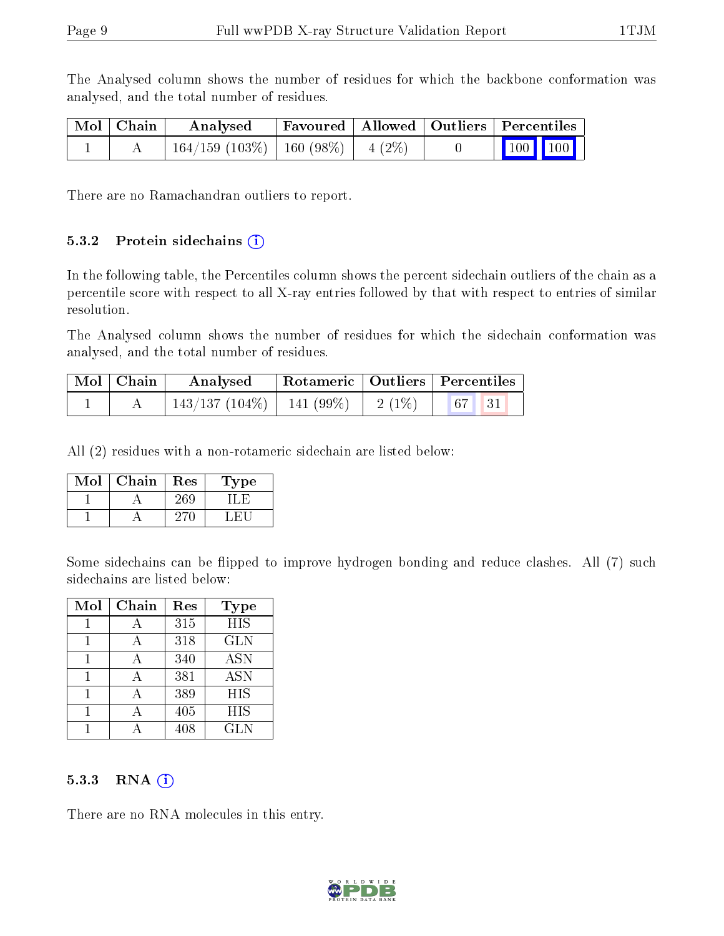The Analysed column shows the number of residues for which the backbone conformation was analysed, and the total number of residues.

| Mol   Chain | Analysed                                 | Favoured   Allowed   Outliers   Percentiles |  |                                                            |  |
|-------------|------------------------------------------|---------------------------------------------|--|------------------------------------------------------------|--|
|             | $164/159$ (103\%)   160 (98\%)   4 (2\%) |                                             |  | $\begin{array}{ c c c c }\n\hline\n100 & 100\n\end{array}$ |  |

There are no Ramachandran outliers to report.

#### 5.3.2 Protein sidechains  $(i)$

In the following table, the Percentiles column shows the percent sidechain outliers of the chain as a percentile score with respect to all X-ray entries followed by that with respect to entries of similar resolution.

The Analysed column shows the number of residues for which the sidechain conformation was analysed, and the total number of residues.

| $Mol$   Chain | Analysed                       |          | Rotameric   Outliers   Percentiles |  |
|---------------|--------------------------------|----------|------------------------------------|--|
|               | $143/137 (104\%)$   141 (99\%) | $2(1\%)$ |                                    |  |

All (2) residues with a non-rotameric sidechain are listed below:

| Mol | Chain | Res | Fype |
|-----|-------|-----|------|
|     |       | 269 |      |
|     |       |     |      |

Some sidechains can be flipped to improve hydrogen bonding and reduce clashes. All (7) such sidechains are listed below:

| Mol | Chain | Res | <b>Type</b> |
|-----|-------|-----|-------------|
|     | А     | 315 | <b>HIS</b>  |
|     |       | 318 | <b>GLN</b>  |
|     |       | 340 | <b>ASN</b>  |
|     |       | 381 | ASN         |
|     |       | 389 | <b>HIS</b>  |
|     |       | 405 | HIS         |
|     |       | 408 | <b>GLN</b>  |

#### $5.3.3$  RNA  $(i)$

There are no RNA molecules in this entry.

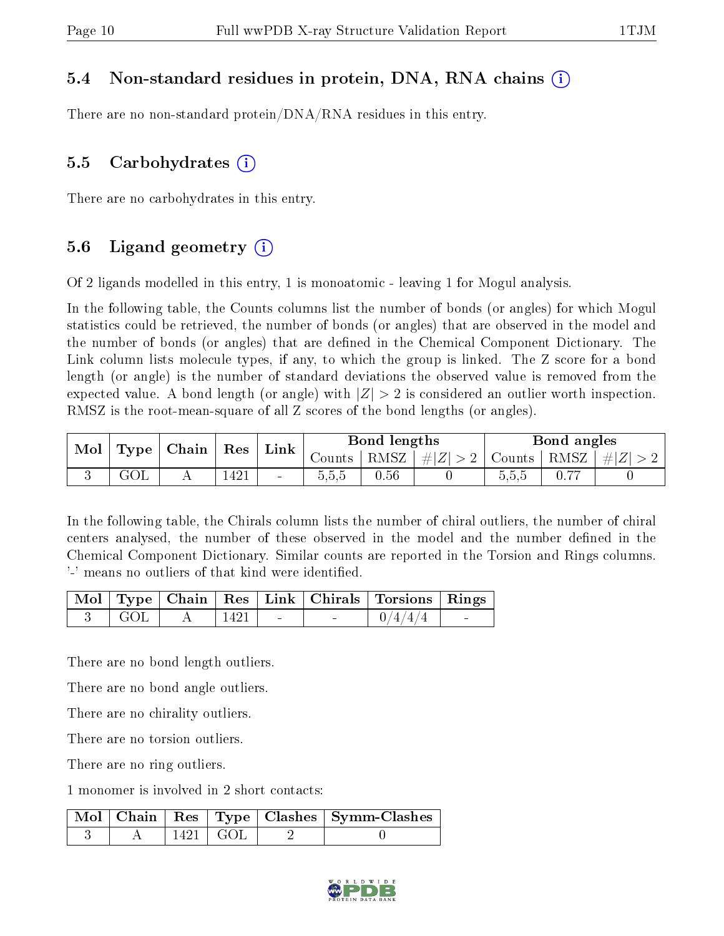#### 5.4 Non-standard residues in protein, DNA, RNA chains (i)

There are no non-standard protein/DNA/RNA residues in this entry.

#### 5.5 Carbohydrates  $(i)$

There are no carbohydrates in this entry.

### 5.6 Ligand geometry  $(i)$

Of 2 ligands modelled in this entry, 1 is monoatomic - leaving 1 for Mogul analysis.

In the following table, the Counts columns list the number of bonds (or angles) for which Mogul statistics could be retrieved, the number of bonds (or angles) that are observed in the model and the number of bonds (or angles) that are dened in the Chemical Component Dictionary. The Link column lists molecule types, if any, to which the group is linked. The Z score for a bond length (or angle) is the number of standard deviations the observed value is removed from the expected value. A bond length (or angle) with  $|Z| > 2$  is considered an outlier worth inspection. RMSZ is the root-mean-square of all Z scores of the bond lengths (or angles).

| Mol | Type | $\mid$ Chain | $\operatorname{Res}$ | Link                     | Bond lengths |               |         | Bond angles |             |  |
|-----|------|--------------|----------------------|--------------------------|--------------|---------------|---------|-------------|-------------|--|
|     |      |              |                      |                          | Counts       | $^+$ RMSZ $+$ | #Z  > 2 | Counts      | RMSZ $ #Z $ |  |
|     |      |              | 1421                 | $\overline{\phantom{a}}$ | 5,5,5        | 0.56          |         | 5.5.5       |             |  |

In the following table, the Chirals column lists the number of chiral outliers, the number of chiral centers analysed, the number of these observed in the model and the number defined in the Chemical Component Dictionary. Similar counts are reported in the Torsion and Rings columns. '-' means no outliers of that kind were identified.

|                                                                                    |      |                                   | Mol   Type   Chain   Res   Link   Chirals   Torsions   Rings |  |
|------------------------------------------------------------------------------------|------|-----------------------------------|--------------------------------------------------------------|--|
| $\overline{\phantom{0}}$ and $\overline{\phantom{0}}$ and $\overline{\phantom{0}}$ | 1421 | <b>Contract Contract Contract</b> | 0/4/4/4                                                      |  |

There are no bond length outliers.

There are no bond angle outliers.

There are no chirality outliers.

There are no torsion outliers.

There are no ring outliers.

1 monomer is involved in 2 short contacts:

|  |                        | Mol   Chain   Res   Type   Clashes   Symm-Clashes |
|--|------------------------|---------------------------------------------------|
|  | $1421 \mid \text{GOL}$ |                                                   |

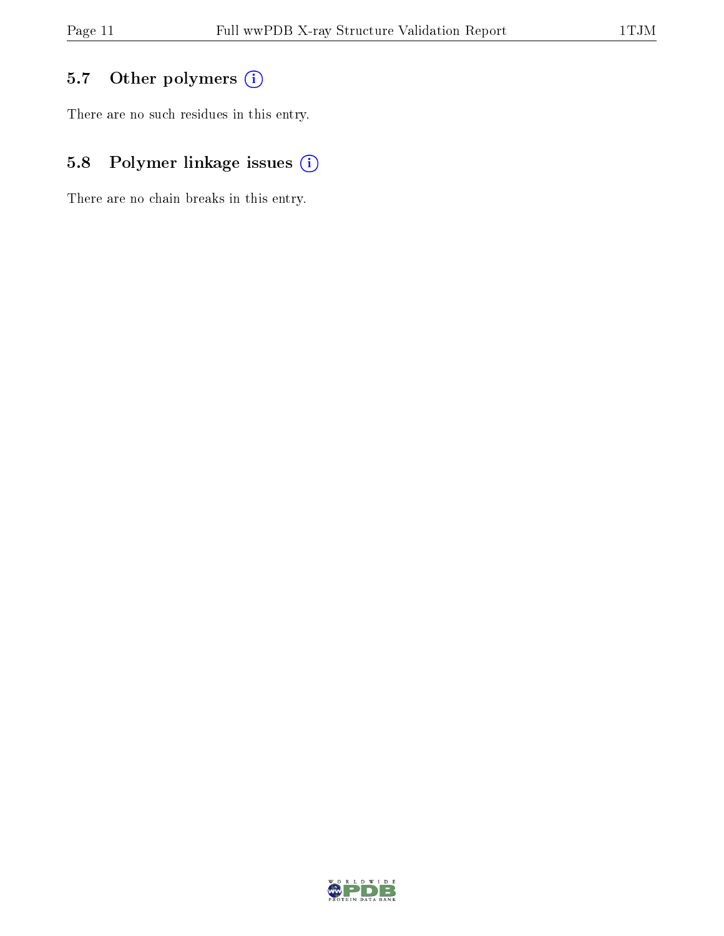### 5.7 [O](https://www.wwpdb.org/validation/2017/XrayValidationReportHelp#nonstandard_residues_and_ligands)ther polymers (i)

There are no such residues in this entry.

### 5.8 Polymer linkage issues (i)

There are no chain breaks in this entry.

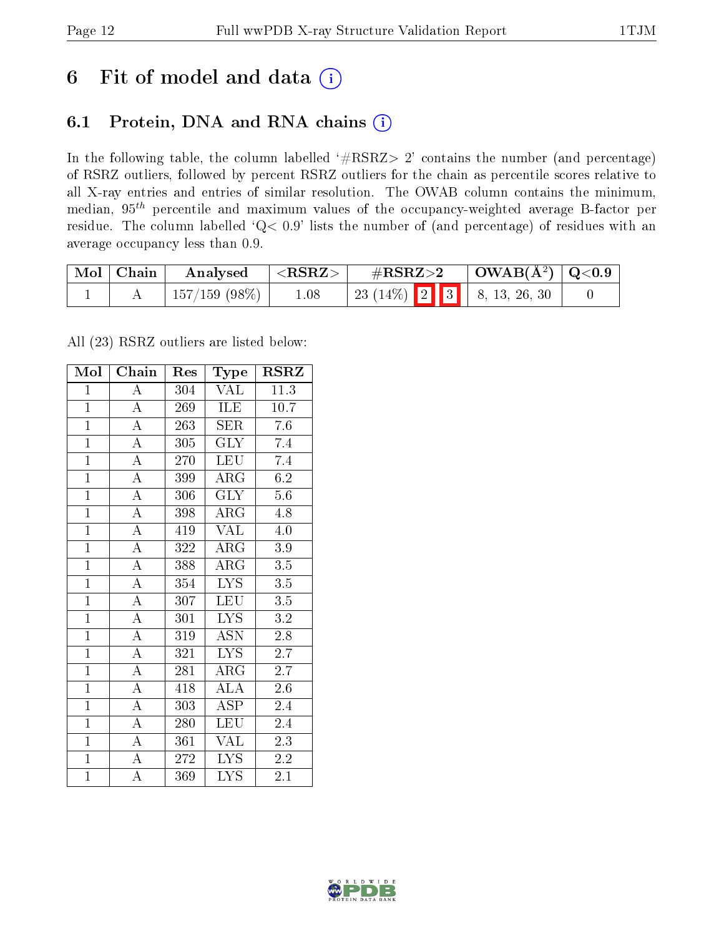## 6 Fit of model and data  $(i)$

### 6.1 Protein, DNA and RNA chains  $(i)$

In the following table, the column labelled  $#RSRZ> 2'$  contains the number (and percentage) of RSRZ outliers, followed by percent RSRZ outliers for the chain as percentile scores relative to all X-ray entries and entries of similar resolution. The OWAB column contains the minimum, median,  $95<sup>th</sup>$  percentile and maximum values of the occupancy-weighted average B-factor per residue. The column labelled ' $Q< 0.9$ ' lists the number of (and percentage) of residues with an average occupancy less than 0.9.

| $\text{Mol} \mid \text{Chain}$ | Analysed           | $<$ RSRZ $>$ | $\#\text{RSRZ}\text{>2}$        | $\mid$ OWAB(Å <sup>2</sup> ) $\mid$ Q<0.9 |  |
|--------------------------------|--------------------|--------------|---------------------------------|-------------------------------------------|--|
|                                | $157/159$ $(98\%)$ | 1.08         | $+23(14\%)$ 2 3 $8, 13, 26, 30$ |                                           |  |

All (23) RSRZ outliers are listed below:

| Mol            | Chain              | Res              | Type                    | <b>RSRZ</b>      |
|----------------|--------------------|------------------|-------------------------|------------------|
| $\mathbf{1}$   | A                  | 304              | VAL                     | 11.3             |
| $\mathbf{1}$   | $\overline{\rm A}$ | 269              | ILE                     | 10.7             |
| $\overline{1}$ | $\overline{A}$     | 263              | $\operatorname{SER}$    | 7.6              |
| $\overline{1}$ | $\overline{\rm A}$ | 305              | <b>GLY</b>              | 7.4              |
| $\overline{1}$ | $\overline{\rm A}$ | 270              | <b>LEU</b>              | 7.4              |
| $\overline{1}$ | $\overline{\rm A}$ | 399              | $\rm{ARG}$              | 6.2              |
| $\overline{1}$ | $\overline{\rm A}$ | 306              | <b>GLY</b>              | $5.6\,$          |
| $\overline{1}$ | $\overline{A}$     | 398              | $\rm{ARG}$              | 4.8              |
| $\mathbf{1}$   | $\overline{A}$     | 419              | <b>VAL</b>              | $4.0\,$          |
| $\overline{1}$ | $\overline{A}$     | 322              | $\overline{\rm{ARG}}$   | 3.9              |
| $\overline{1}$ | $\overline{A}$     | 388              | ARG                     | 3.5              |
| $\overline{1}$ | $\overline{\rm A}$ | $\overline{354}$ | $\overline{\text{LYS}}$ | $\overline{3.5}$ |
| $\overline{1}$ | $\overline{\rm A}$ | 307              | $\overline{\text{LEU}}$ | $\overline{3.5}$ |
| $\overline{1}$ | $\overline{\rm A}$ | 301              | $\overline{\text{LYS}}$ | $\rm 3.2$        |
| $\overline{1}$ | $\overline{A}$     | 319              | <b>ASN</b>              | 2.8              |
| $\overline{1}$ | $\overline{\rm A}$ | 321              | $\overline{\text{LYS}}$ | 2.7              |
| $\overline{1}$ | $\overline{\rm A}$ | 281              | $\rm{ARG}$              | 2.7              |
| $\overline{1}$ | $\overline{\rm A}$ | 418              | <b>ALA</b>              | 2.6              |
| $\overline{1}$ | $\overline{\rm A}$ | 303              | <b>ASP</b>              | 2.4              |
| $\overline{1}$ | $\overline{A}$     | 280              | <b>LEU</b>              | 2.4              |
| $\mathbf{1}$   | $\overline{\rm A}$ | 361              | VAL                     | 2.3              |
| $\overline{1}$ | $\overline{A}$     | 272              | $\overline{\text{LYS}}$ | $\overline{2.2}$ |
| $\mathbf{1}$   | $\overline{A}$     | 369              | <b>LYS</b>              | 2.1              |